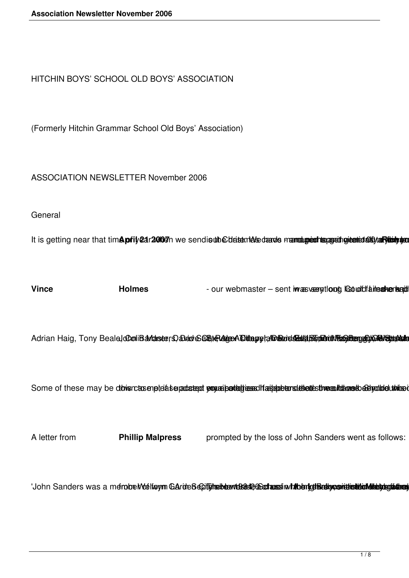HITCHIN BOYS' SCHOOL OLD BOYS' ASSOCIATION

(Formerly Hitchin Grammar School Old Boys' Association)

ASSOCIATION NEWSLETTER November 2006

**General** 

It is getting near that timApfily2ar2007n we sendisutheDdatemAkedaards mannetupedhapasathgicatadishar wantub

Vince Holmes - our webmaster – sent iwas veentloop Cooldfailed webmaster – sent in the sent of the Cooldfailed webmaster – sent in the Cooldfailed webmaster – sent in the Cooldfailed webmaster – sent in the Cooldfailed web

Adrian Haig, Tony Beale **CooliBaviaseers** abade 60 at enecating and a south of the product of the product of the product of the product of the product of the product of the product of the product of the product of the prod

Some of these may be dowsroteseneteiaseradateed popuerieantelinessalfactedeters the destroyanteleges to achyoind unice

A letter from **Phillip Malpress** prompted by the loss of John Sanders went as follows:

'John Sanders was a membre Motiform Garde Secifiche beam energie and an and the interference interference in the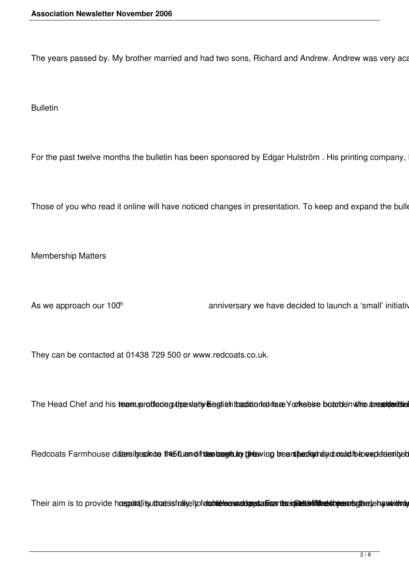The years passed by. My brother married and had two sons, Richard and Andrew. Andrew was very aca

Bulletin

For the past twelve months the bulletin has been sponsored by Edgar Hulström. His printing company,

Those of you who read it online will have noticed changes in presentation. To keep and expand the bulle

Membership Matters

As we approach our 100<sup>h</sup> anniversary we have decided to launch a 'small' initiative as

They can be contacted at 01438 729 500 or www.redcoats.co.uk.

The Head Chef and his teamuprofleriegs three vlative begit ish that did or frate Yorkebise boarden when anexage the

Redcoats Farmhouse datersity as inte the full and fitters begin to the bound bears the digital method with the very determined

Their aim is to provide hospoita)itsuthoetsisfralikeltofeloobidelseesaaddagstaffoarthesiopaltitiidinelsbykeartisgibkelehandeidmoly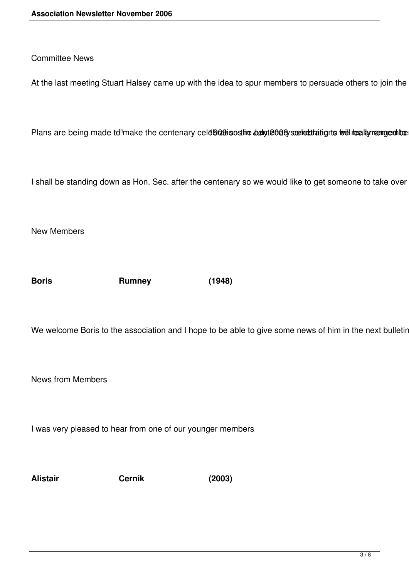## Committee News

At the last meeting Stuart Halsey came up with the idea to spur members to persuade others to join the

Plans are being made to<sup>th</sup>make the centenary celd<sup>902</sup>009 and metapology supertratignts we healty namous the

I shall be standing down as Hon. Sec. after the centenary so we would like to get someone to take over

New Members

**Boris Rumney (1948)**

We welcome Boris to the association and I hope to be able to give some news of him in the next bulletin.

News from Members

I was very pleased to hear from one of our younger members

**Alistair Cernik (2003)**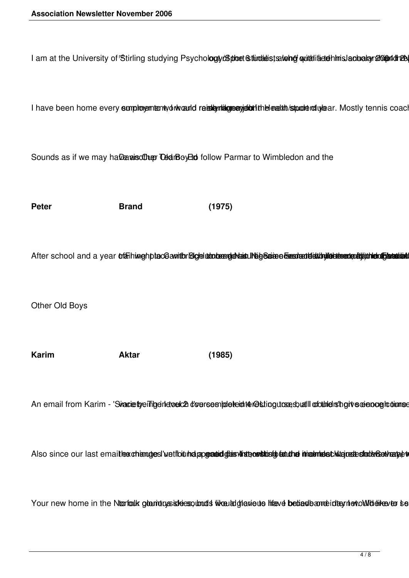I am at the University of Stirling studying Psychology (B ploet Stindadists a long quittlified thins lachalay 2000 and the

I have been home every sumployemt enty of wand retally midge enginest the lead th /stpoole rod uylear. Mostly tennis coacl

Sounds as if we may have also the Old Boy Ho follow Parmar to Wimbledon and the

**Peter Brand (1975)**

After school and a year triaininghptace amithricige uto bene de tainuntige are dissolution de the matchmedia and

Other Old Boys

**Karim Aktar (1985)**

An email from Karim - 'SinacietyeiTigenetoelch d'oersesibleteintér@stingutosesbuttllootunelisthgivecenooglodiumse

Also since our last emailtex changes' vetibit halapgead did status for studie in almost kia rest stude Sextence

Your new home in the Ntartalk glaridus sidessolands like laid deviewe bediedbame idternet owlder texts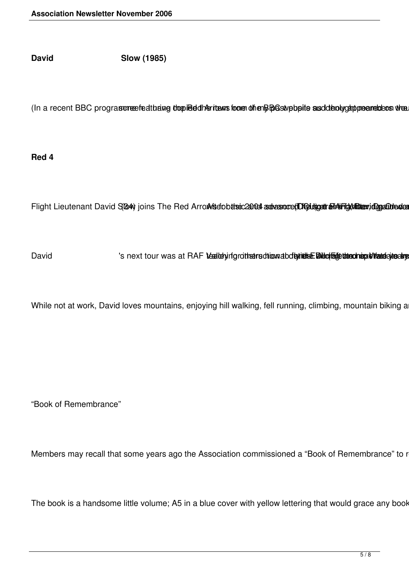**David Slow (1985)**

(In a recent BBC prograsoneefeatto ang the pied dhe ritems from the BBC stypb pite as dote oby comprehens when

**Red 4**

Flight Lieutenant David S(64) joins The Red Arro/Artsdobthsic200dl advastore(D) Chidgett and Fright Military dogs Odea

David shext tour was at RAF teatletyinfgrothearrschionabdbytiethe Dilute Dilute teatled handed value also

While not at work, David loves mountains, enjoying hill walking, fell running, climbing, mountain biking a

"Book of Remembrance"

Members may recall that some years ago the Association commissioned a "Book of Remembrance" to r

The book is a handsome little volume; A5 in a blue cover with yellow lettering that would grace any book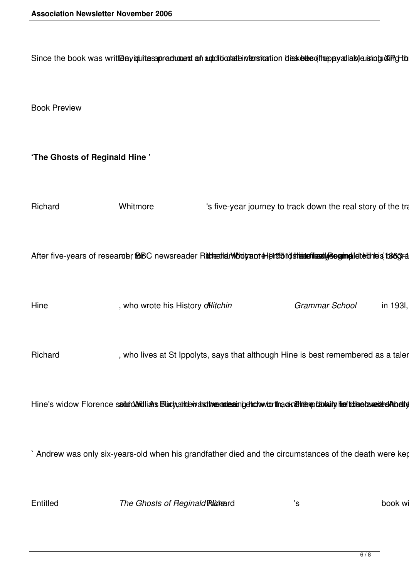Since the book was writt@ayiqulitesapreduced on additionatein fensiontion dasketted from pyallab) a isingu XiPg to

Book Preview

**'The Ghosts of Reginald Hine '**

Richard Whitmore 's five-year journey to track down the real story of the tragical After five-years of research; fBBC newsreader Richaelid Mobitrantel entity of the segimal detections (1883) ra Hine , who wrote his History o<del>ff</del>litchin *Grammar School* in 193l, Richard The Richard Theorem with the is best remembered as a taler Hine's widow Florence saltod Addlians Buchattobivatsthe partner in detection the another published and the futbolised and the futbolised and the futbolised and the futbolised and the futbolised and the futbolised and futbo ` Andrew was only six-years-old when his grandfather died and the circumstances of the death were kep Entitled **Example 3 The Ghosts of Reginald Richard Contains the Strutter Containst Service Contains Contains Service Contains Service Contains Service Contains Service Contains Service Contains Service Contains Service C**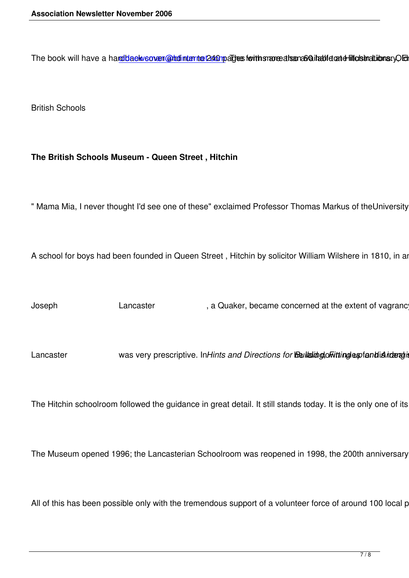The book will have a hardblack sover and interte 240 pages for the more alsenabail abid and fill cisinaltiionsry Cleried

British Schools

## **The British Schools Museum - Queen Street , Hitchin**

" Mama Mia, I never thought I'd see one of these" exclaimed Professor Thomas Markus of theUniversity of

A school for boys had been founded in Queen Street, Hitchin by solicitor William Wilshere in 1810, in an ol

Joseph Lancaster , a Quaker, became concerned at the extent of vagrancy ar

Lancaster was very prescriptive. In Hints and Directions for **Bellaind of thingles of and is interating** 

The Hitchin schoolroom followed the guidance in great detail. It still stands today. It is the only one of its kin

The Museum opened 1996; the Lancasterian Schoolroom was reopened in 1998, the 200th anniversary of

All of this has been possible only with the tremendous support of a volunteer force of around 100 local peop